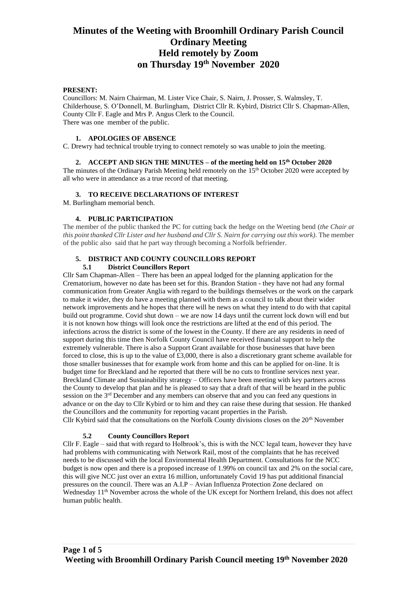#### **PRESENT:**

Councillors: M. Nairn Chairman, M. Lister Vice Chair, S. Nairn, J. Prosser, S. Walmsley, T. Childerhouse, S. O'Donnell, M. Burlingham, District Cllr R. Kybird, District Cllr S. Chapman-Allen, County Cllr F. Eagle and Mrs P. Angus Clerk to the Council. There was one member of the public.

#### **1. APOLOGIES OF ABSENCE**

C. Drewry had technical trouble trying to connect remotely so was unable to join the meeting.

#### **2. ACCEPT AND SIGN THE MINUTES – of the meeting held on 15th October 2020**

The minutes of the Ordinary Parish Meeting held remotely on the 15<sup>th</sup> October 2020 were accepted by all who were in attendance as a true record of that meeting.

# **3. TO RECEIVE DECLARATIONS OF INTEREST**

M. Burlingham memorial bench.

## **4. PUBLIC PARTICIPATION**

The member of the public thanked the PC for cutting back the hedge on the Weeting bend (*the Chair at this point thanked Cllr Lister and her husband and Cllr S. Nairn for carrying out this work).* The member of the public also said that he part way through becoming a Norfolk befriender.

# **5. DISTRICT AND COUNTY COUNCILLORS REPORT**

#### **5.1 District Councillors Report**

Cllr Sam Chapman-Allen – There has been an appeal lodged for the planning application for the Crematorium, however no date has been set for this. Brandon Station - they have not had any formal communication from Greater Anglia with regard to the buildings themselves or the work on the carpark to make it wider, they do have a meeting planned with them as a council to talk about their wider network improvements and he hopes that there will he news on what they intend to do with that capital build out programme. Covid shut down – we are now 14 days until the current lock down will end but it is not known how things will look once the restrictions are lifted at the end of this period. The infections across the district is some of the lowest in the County. If there are any residents in need of support during this time then Norfolk County Council have received financial support to help the extremely vulnerable. There is also a Support Grant available for those businesses that have been forced to close, this is up to the value of £3,000, there is also a discretionary grant scheme available for those smaller businesses that for example work from home and this can be applied for on-line. It is budget time for Breckland and he reported that there will be no cuts to frontline services next year. Breckland Climate and Sustainability strategy – Officers have been meeting with key partners across the County to develop that plan and he is pleased to say that a draft of that will be heard in the public session on the 3rd December and any members can observe that and you can feed any questions in advance or on the day to Cllr Kybird or to him and they can raise these during that session. He thanked the Councillors and the community for reporting vacant properties in the Parish. Cllr Kybird said that the consultations on the Norfolk County divisions closes on the  $20<sup>th</sup>$  November

# **5.2 County Councillors Report**

Cllr F. Eagle – said that with regard to Holbrook's, this is with the NCC legal team, however they have had problems with communicating with Network Rail, most of the complaints that he has received needs to be discussed with the local Environmental Health Department. Consultations for the NCC budget is now open and there is a proposed increase of 1.99% on council tax and 2% on the social care, this will give NCC just over an extra 16 million, unfortunately Covid 19 has put additional financial pressures on the council. There was an A.I.P – Avian Influenza Protection Zone declared on Wednesday 11<sup>th</sup> November across the whole of the UK except for Northern Ireland, this does not affect human public health.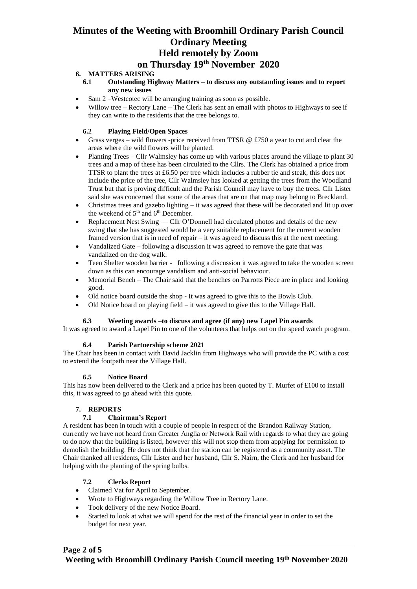# **6. MATTERS ARISING**

- **6.1 Outstanding Highway Matters – to discuss any outstanding issues and to report any new issues**
- Sam 2 –Westcotec will be arranging training as soon as possible.
- Willow tree Rectory Lane The Clerk has sent an email with photos to Highways to see if they can write to the residents that the tree belongs to.

# **6.2 Playing Field/Open Spaces**

- Grass verges wild flowers -price received from TTSR  $\circledcirc$  £750 a year to cut and clear the areas where the wild flowers will be planted.
- Planting Trees *–* Cllr Walmsley has come up with various places around the village to plant 30 trees and a map of these has been circulated to the Cllrs. The Clerk has obtained a price from TTSR to plant the trees at £6.50 per tree which includes a rubber tie and steak, this does not include the price of the tree, Cllr Walmsley has looked at getting the trees from the Woodland Trust but that is proving difficult and the Parish Council may have to buy the trees. Cllr Lister said she was concerned that some of the areas that are on that map may belong to Breckland.
- Christmas trees and gazebo lighting  $-$  it was agreed that these will be decorated and lit up over the weekend of  $5<sup>th</sup>$  and  $6<sup>th</sup>$  December.
- Replacement Nest Swing Cllr O'Donnell had circulated photos and details of the new swing that she has suggested would be a very suitable replacement for the current wooden framed version that is in need of repair – it was agreed to discuss this at the next meeting.
- Vandalized Gate following a discussion it was agreed to remove the gate that was vandalized on the dog walk.
- Teen Shelter wooden barrier following a discussion it was agreed to take the wooden screen down as this can encourage vandalism and anti-social behaviour.
- Memorial Bench The Chair said that the benches on Parrotts Piece are in place and looking good.
- Old notice board outside the shop It was agreed to give this to the Bowls Club.
- Old Notice board on playing field it was agreed to give this to the Village Hall.

# **6.3 Weeting awards –to discuss and agree (if any) new Lapel Pin awards**

It was agreed to award a Lapel Pin to one of the volunteers that helps out on the speed watch program.

# **6.4 Parish Partnership scheme 2021**

The Chair has been in contact with David Jacklin from Highways who will provide the PC with a cost to extend the footpath near the Village Hall.

# **6.5 Notice Board**

This has now been delivered to the Clerk and a price has been quoted by T. Murfet of  $\pounds 100$  to install this, it was agreed to go ahead with this quote.

# **7. REPORTS**

#### **7.1 Chairman's Report**

A resident has been in touch with a couple of people in respect of the Brandon Railway Station, currently we have not heard from Greater Anglia or Network Rail with regards to what they are going to do now that the building is listed, however this will not stop them from applying for permission to demolish the building. He does not think that the station can be registered as a community asset. The Chair thanked all residents, Cllr Lister and her husband, Cllr S. Nairn, the Clerk and her husband for helping with the planting of the spring bulbs.

# **7.2 Clerks Report**

- Claimed Vat for April to September.
- Wrote to Highways regarding the Willow Tree in Rectory Lane.
- Took delivery of the new Notice Board.
- Started to look at what we will spend for the rest of the financial year in order to set the budget for next year.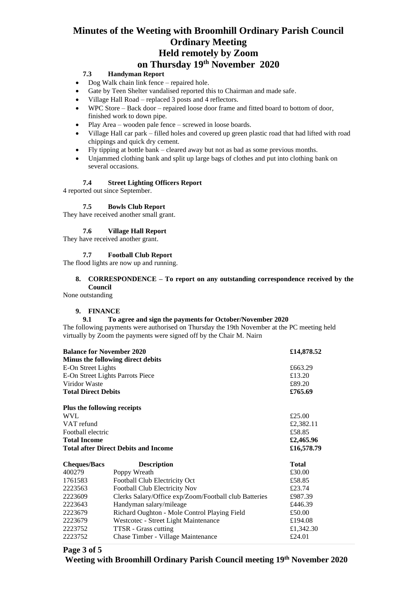# **7.3 Handyman Report**

- Dog Walk chain link fence repaired hole.
- Gate by Teen Shelter vandalised reported this to Chairman and made safe.
- Village Hall Road replaced 3 posts and 4 reflectors.
- WPC Store Back door repaired loose door frame and fitted board to bottom of door, finished work to down pipe.
- Play Area wooden pale fence screwed in loose boards.
- Village Hall car park filled holes and covered up green plastic road that had lifted with road chippings and quick dry cement.
- Fly tipping at bottle bank cleared away but not as bad as some previous months.
- Unjammed clothing bank and split up large bags of clothes and put into clothing bank on several occasions.

### **7.4 Street Lighting Officers Report**

4 reported out since September.

# **7.5 Bowls Club Report**

They have received another small grant.

#### **7.6 Village Hall Report**

They have received another grant.

#### **7.7 Football Club Report**

The flood lights are now up and running.

## **8. CORRESPONDENCE – To report on any outstanding correspondence received by the Council**

None outstanding

#### **9. FINANCE**

#### **9.1 To agree and sign the payments for October/November 2020**

The following payments were authorised on Thursday the 19th November at the PC meeting held virtually by Zoom the payments were signed off by the Chair M. Nairn

| <b>Balance for November 2020</b><br>Minus the following direct debits |                                                       | £14,878.52        |
|-----------------------------------------------------------------------|-------------------------------------------------------|-------------------|
| E-On Street Lights                                                    |                                                       | £663.29           |
| E-On Street Lights Parrots Piece                                      |                                                       | £13.20            |
| Viridor Waste<br><b>Total Direct Debits</b>                           |                                                       | £89.20<br>£765.69 |
|                                                                       |                                                       |                   |
| <b>WVL</b>                                                            |                                                       | £25.00            |
| VAT refund                                                            |                                                       | £2,382.11         |
| Football electric                                                     |                                                       | £58.85            |
| <b>Total Income</b>                                                   |                                                       | £2,465.96         |
|                                                                       | <b>Total after Direct Debits and Income</b>           | £16,578.79        |
| <b>Cheques/Bacs</b>                                                   | <b>Description</b>                                    | <b>Total</b>      |
| 400279                                                                | Poppy Wreath                                          | £30.00            |
| 1761583                                                               | Football Club Electricity Oct                         | £58.85            |
| 2223563                                                               | Football Club Electricity Nov                         | £23.74            |
| 2223609                                                               | Clerks Salary/Office exp/Zoom/Football club Batteries | £987.39           |
| 2223643                                                               | Handyman salary/mileage                               | £446.39           |
| 2223679                                                               | Richard Oughton - Mole Control Playing Field          | £50.00            |
| 2223679                                                               | Westcotec - Street Light Maintenance                  | £194.08           |
| 2223752                                                               | <b>TTSR</b> - Grass cutting                           | £1,342.30         |
| 2223752                                                               | Chase Timber - Village Maintenance                    | £24.01            |

**Page 3 of 5**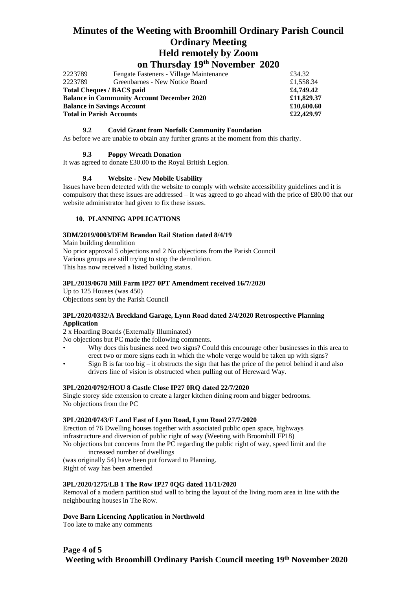# **Minutes of the Weeting with Broomhill Ordinary Parish Council Ordinary Meeting Held remotely by Zoom**

**on Thursday 19th November 2020**

| 2223789                                                                                | Fengate Fasteners - Village Maintenance | £34.32                   |
|----------------------------------------------------------------------------------------|-----------------------------------------|--------------------------|
| 2223789                                                                                | Greenbarnes - New Notice Board          | £1,558.34                |
| <b>Total Cheques / BACS paid</b>                                                       |                                         | £4,749.42                |
| <b>Balance in Community Account December 2020</b><br><b>Balance in Savings Account</b> |                                         | £11,829.37<br>£10,600.60 |
|                                                                                        |                                         |                          |

#### **9.2 Covid Grant from Norfolk Community Foundation**

As before we are unable to obtain any further grants at the moment from this charity.

#### **9.3 Poppy Wreath Donation**

It was agreed to donate £30.00 to the Royal British Legion.

#### **9.4 Website - New Mobile Usability**

Issues have been detected with the website to comply with website accessibility guidelines and it is compulsory that these issues are addressed – It was agreed to go ahead with the price of £80.00 that our website administrator had given to fix these issues.

## **10. PLANNING APPLICATIONS**

### **3DM/2019/0003/DEM Brandon Rail Station dated 8/4/19**

Main building demolition No prior approval 5 objections and 2 No objections from the Parish Council Various groups are still trying to stop the demolition. This has now received a listed building status.

#### **3PL/2019/0678 Mill Farm IP27 0PT Amendment received 16/7/2020**

Up to 125 Houses (was 450) Objections sent by the Parish Council

#### **3PL/2020/0332/A Breckland Garage, Lynn Road dated 2/4/2020 Retrospective Planning Application**

2 x Hoarding Boards (Externally Illuminated)

No objections but PC made the following comments.

- Why does this business need two signs? Could this encourage other businesses in this area to erect two or more signs each in which the whole verge would be taken up with signs?
- Sign B is far too big it obstructs the sign that has the price of the petrol behind it and also drivers line of vision is obstructed when pulling out of Hereward Way.

#### **3PL/2020/0792/HOU 8 Castle Close IP27 0RQ dated 22/7/2020**

Single storey side extension to create a larger kitchen dining room and bigger bedrooms. No objections from the PC

#### **3PL/2020/0743/F Land East of Lynn Road, Lynn Road 27/7/2020**

Erection of 76 Dwelling houses together with associated public open space, highways infrastructure and diversion of public right of way (Weeting with Broomhill FP18) No objections but concerns from the PC regarding the public right of way, speed limit and the

increased number of dwellings

(was originally 54) have been put forward to Planning.

Right of way has been amended

### **3PL/2020/1275/LB 1 The Row IP27 0QG dated 11/11/2020**

Removal of a modern partition stud wall to bring the layout of the living room area in line with the neighbouring houses in The Row.

#### **Dove Barn Licencing Application in Northwold**

Too late to make any comments